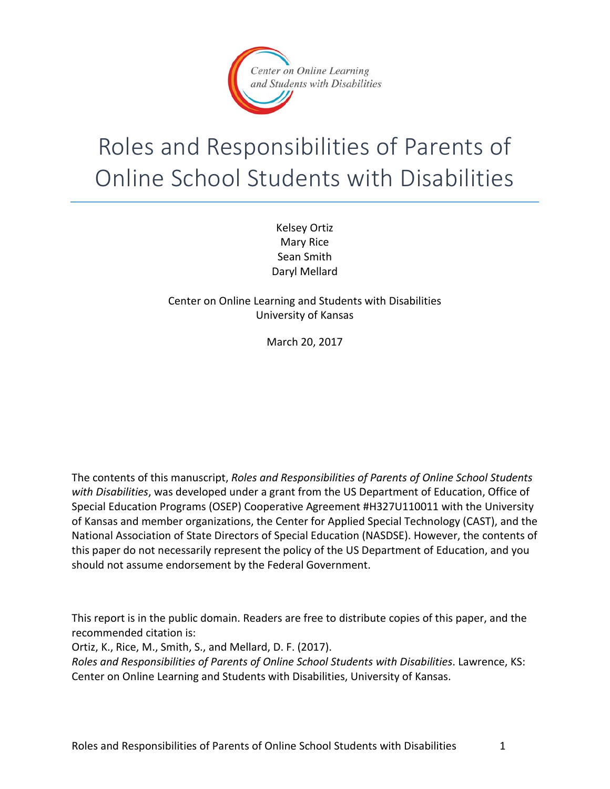

# Roles and Responsibilities of Parents of Online School Students with Disabilities

Kelsey Ortiz Mary Rice Sean Smith Daryl Mellard

Center on Online Learning and Students with Disabilities University of Kansas

March 20, 2017

The contents of this manuscript, *Roles and Responsibilities of Parents of Online School Students with Disabilities*, was developed under a grant from the US Department of Education, Office of Special Education Programs (OSEP) Cooperative Agreement #H327U110011 with the University of Kansas and member organizations, the Center for Applied Special Technology (CAST), and the National Association of State Directors of Special Education (NASDSE). However, the contents of this paper do not necessarily represent the policy of the US Department of Education, and you should not assume endorsement by the Federal Government.

This report is in the public domain. Readers are free to distribute copies of this paper, and the recommended citation is:

Ortiz, K., Rice, M., Smith, S., and Mellard, D. F. (2017).

*Roles and Responsibilities of Parents of Online School Students with Disabilities*. Lawrence, KS: Center on Online Learning and Students with Disabilities, University of Kansas.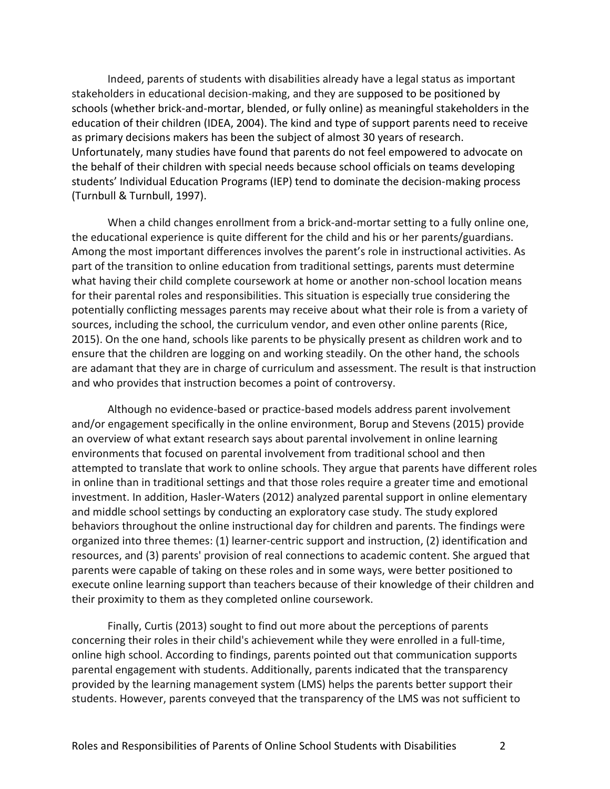Indeed, parents of students with disabilities already have a legal status as important stakeholders in educational decision-making, and they are supposed to be positioned by schools (whether brick-and-mortar, blended, or fully online) as meaningful stakeholders in the education of their children (IDEA, 2004). The kind and type of support parents need to receive as primary decisions makers has been the subject of almost 30 years of research. Unfortunately, many studies have found that parents do not feel empowered to advocate on the behalf of their children with special needs because school officials on teams developing students' Individual Education Programs (IEP) tend to dominate the decision-making process (Turnbull & Turnbull, 1997).

When a child changes enrollment from a brick-and-mortar setting to a fully online one, the educational experience is quite different for the child and his or her parents/guardians. Among the most important differences involves the parent's role in instructional activities. As part of the transition to online education from traditional settings, parents must determine what having their child complete coursework at home or another non-school location means for their parental roles and responsibilities. This situation is especially true considering the potentially conflicting messages parents may receive about what their role is from a variety of sources, including the school, the curriculum vendor, and even other online parents (Rice, 2015). On the one hand, schools like parents to be physically present as children work and to ensure that the children are logging on and working steadily. On the other hand, the schools are adamant that they are in charge of curriculum and assessment. The result is that instruction and who provides that instruction becomes a point of controversy.

Although no evidence-based or practice-based models address parent involvement and/or engagement specifically in the online environment, Borup and Stevens (2015) provide an overview of what extant research says about parental involvement in online learning environments that focused on parental involvement from traditional school and then attempted to translate that work to online schools. They argue that parents have different roles in online than in traditional settings and that those roles require a greater time and emotional investment. In addition, Hasler-Waters (2012) analyzed parental support in online elementary and middle school settings by conducting an exploratory case study. The study explored behaviors throughout the online instructional day for children and parents. The findings were organized into three themes: (1) learner-centric support and instruction, (2) identification and resources, and (3) parents' provision of real connections to academic content. She argued that parents were capable of taking on these roles and in some ways, were better positioned to execute online learning support than teachers because of their knowledge of their children and their proximity to them as they completed online coursework.

Finally, Curtis (2013) sought to find out more about the perceptions of parents concerning their roles in their child's achievement while they were enrolled in a full-time, online high school. According to findings, parents pointed out that communication supports parental engagement with students. Additionally, parents indicated that the transparency provided by the learning management system (LMS) helps the parents better support their students. However, parents conveyed that the transparency of the LMS was not sufficient to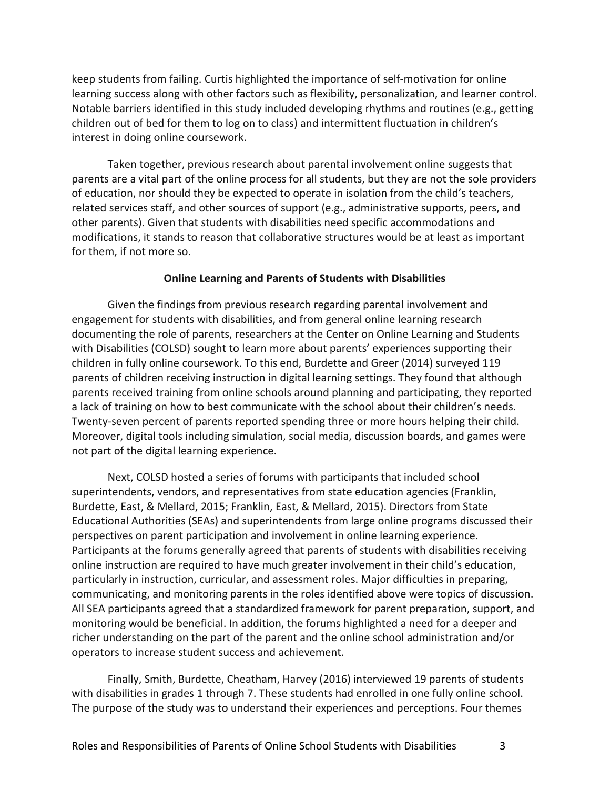keep students from failing. Curtis highlighted the importance of self-motivation for online learning success along with other factors such as flexibility, personalization, and learner control. Notable barriers identified in this study included developing rhythms and routines (e.g., getting children out of bed for them to log on to class) and intermittent fluctuation in children's interest in doing online coursework.

Taken together, previous research about parental involvement online suggests that parents are a vital part of the online process for all students, but they are not the sole providers of education, nor should they be expected to operate in isolation from the child's teachers, related services staff, and other sources of support (e.g., administrative supports, peers, and other parents). Given that students with disabilities need specific accommodations and modifications, it stands to reason that collaborative structures would be at least as important for them, if not more so.

#### **Online Learning and Parents of Students with Disabilities**

Given the findings from previous research regarding parental involvement and engagement for students with disabilities, and from general online learning research documenting the role of parents, researchers at the Center on Online Learning and Students with Disabilities (COLSD) sought to learn more about parents' experiences supporting their children in fully online coursework. To this end, Burdette and Greer (2014) surveyed 119 parents of children receiving instruction in digital learning settings. They found that although parents received training from online schools around planning and participating, they reported a lack of training on how to best communicate with the school about their children's needs. Twenty-seven percent of parents reported spending three or more hours helping their child. Moreover, digital tools including simulation, social media, discussion boards, and games were not part of the digital learning experience.

Next, COLSD hosted a series of forums with participants that included school superintendents, vendors, and representatives from state education agencies (Franklin, Burdette, East, & Mellard, 2015; Franklin, East, & Mellard, 2015). Directors from State Educational Authorities (SEAs) and superintendents from large online programs discussed their perspectives on parent participation and involvement in online learning experience. Participants at the forums generally agreed that parents of students with disabilities receiving online instruction are required to have much greater involvement in their child's education, particularly in instruction, curricular, and assessment roles. Major difficulties in preparing, communicating, and monitoring parents in the roles identified above were topics of discussion. All SEA participants agreed that a standardized framework for parent preparation, support, and monitoring would be beneficial. In addition, the forums highlighted a need for a deeper and richer understanding on the part of the parent and the online school administration and/or operators to increase student success and achievement.

Finally, Smith, Burdette, Cheatham, Harvey (2016) interviewed 19 parents of students with disabilities in grades 1 through 7. These students had enrolled in one fully online school. The purpose of the study was to understand their experiences and perceptions. Four themes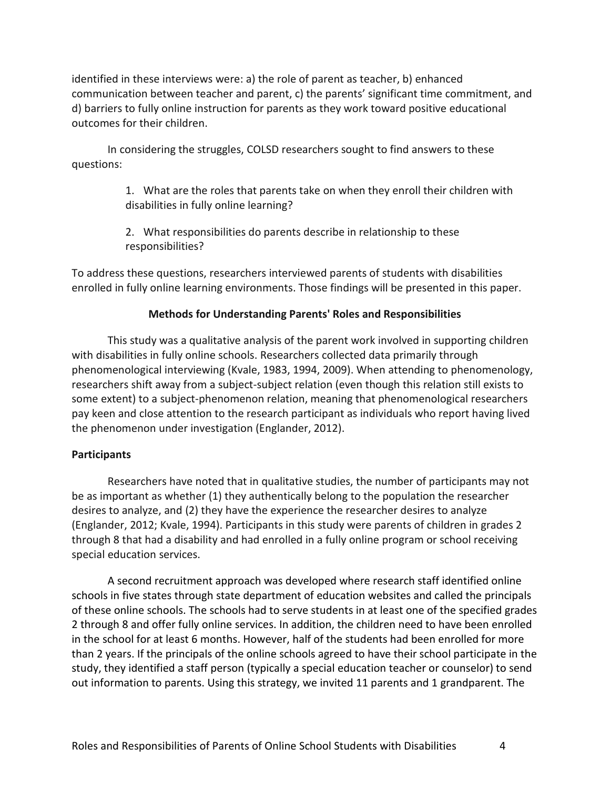identified in these interviews were: a) the role of parent as teacher, b) enhanced communication between teacher and parent, c) the parents' significant time commitment, and d) barriers to fully online instruction for parents as they work toward positive educational outcomes for their children.

In considering the struggles, COLSD researchers sought to find answers to these questions:

> 1. What are the roles that parents take on when they enroll their children with disabilities in fully online learning?

2. What responsibilities do parents describe in relationship to these responsibilities?

To address these questions, researchers interviewed parents of students with disabilities enrolled in fully online learning environments. Those findings will be presented in this paper.

## **Methods for Understanding Parents' Roles and Responsibilities**

This study was a qualitative analysis of the parent work involved in supporting children with disabilities in fully online schools. Researchers collected data primarily through phenomenological interviewing (Kvale, 1983, 1994, 2009). When attending to phenomenology, researchers shift away from a subject-subject relation (even though this relation still exists to some extent) to a subject-phenomenon relation, meaning that phenomenological researchers pay keen and close attention to the research participant as individuals who report having lived the phenomenon under investigation (Englander, 2012).

## **Participants**

Researchers have noted that in qualitative studies, the number of participants may not be as important as whether (1) they authentically belong to the population the researcher desires to analyze, and (2) they have the experience the researcher desires to analyze (Englander, 2012; Kvale, 1994). Participants in this study were parents of children in grades 2 through 8 that had a disability and had enrolled in a fully online program or school receiving special education services.

A second recruitment approach was developed where research staff identified online schools in five states through state department of education websites and called the principals of these online schools. The schools had to serve students in at least one of the specified grades 2 through 8 and offer fully online services. In addition, the children need to have been enrolled in the school for at least 6 months. However, half of the students had been enrolled for more than 2 years. If the principals of the online schools agreed to have their school participate in the study, they identified a staff person (typically a special education teacher or counselor) to send out information to parents. Using this strategy, we invited 11 parents and 1 grandparent. The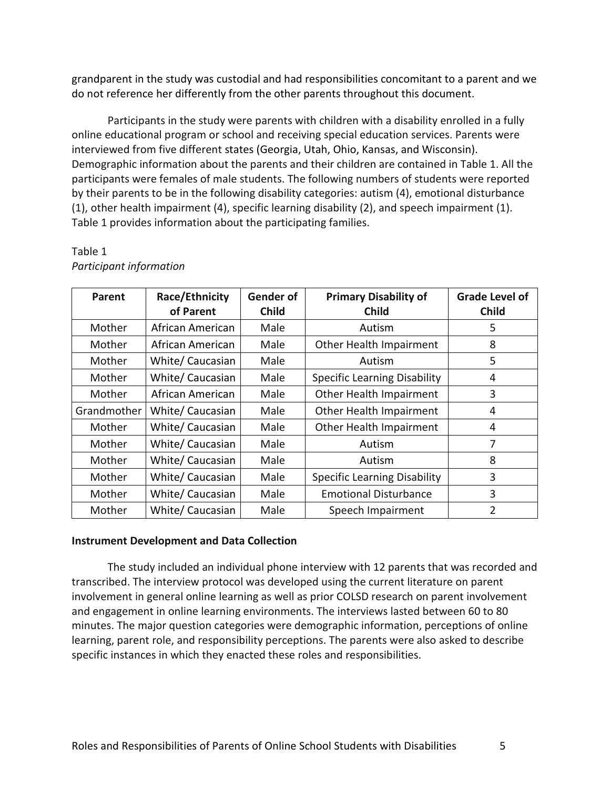grandparent in the study was custodial and had responsibilities concomitant to a parent and we do not reference her differently from the other parents throughout this document.

Participants in the study were parents with children with a disability enrolled in a fully online educational program or school and receiving special education services. Parents were interviewed from five different states (Georgia, Utah, Ohio, Kansas, and Wisconsin). Demographic information about the parents and their children are contained in Table 1. All the participants were females of male students. The following numbers of students were reported by their parents to be in the following disability categories: autism (4), emotional disturbance (1), other health impairment (4), specific learning disability (2), and speech impairment (1). Table 1 provides information about the participating families.

| Parent      | Race/Ethnicity<br>of Parent | <b>Gender of</b><br><b>Child</b> | <b>Primary Disability of</b><br><b>Child</b> | <b>Grade Level of</b><br><b>Child</b> |
|-------------|-----------------------------|----------------------------------|----------------------------------------------|---------------------------------------|
| Mother      | African American            | Male                             | Autism                                       | 5                                     |
| Mother      | African American            | Male                             | Other Health Impairment                      | 8                                     |
| Mother      | White/ Caucasian            | Male                             | Autism                                       | 5                                     |
| Mother      | White/ Caucasian            | Male                             | <b>Specific Learning Disability</b>          | 4                                     |
| Mother      | African American            | Male                             | Other Health Impairment                      | 3                                     |
| Grandmother | White/ Caucasian            | Male                             | Other Health Impairment                      | 4                                     |
| Mother      | White/ Caucasian            | Male                             | Other Health Impairment                      | 4                                     |
| Mother      | White/ Caucasian            | Male                             | Autism                                       | 7                                     |
| Mother      | White/ Caucasian            | Male                             | Autism                                       | 8                                     |
| Mother      | White/ Caucasian            | Male                             | <b>Specific Learning Disability</b>          | 3                                     |
| Mother      | White/ Caucasian            | Male                             | <b>Emotional Disturbance</b>                 | 3                                     |
| Mother      | White/ Caucasian            | Male                             | Speech Impairment                            | 2                                     |

## Table 1 *Participant information*

### **Instrument Development and Data Collection**

The study included an individual phone interview with 12 parents that was recorded and transcribed. The interview protocol was developed using the current literature on parent involvement in general online learning as well as prior COLSD research on parent involvement and engagement in online learning environments. The interviews lasted between 60 to 80 minutes. The major question categories were demographic information, perceptions of online learning, parent role, and responsibility perceptions. The parents were also asked to describe specific instances in which they enacted these roles and responsibilities.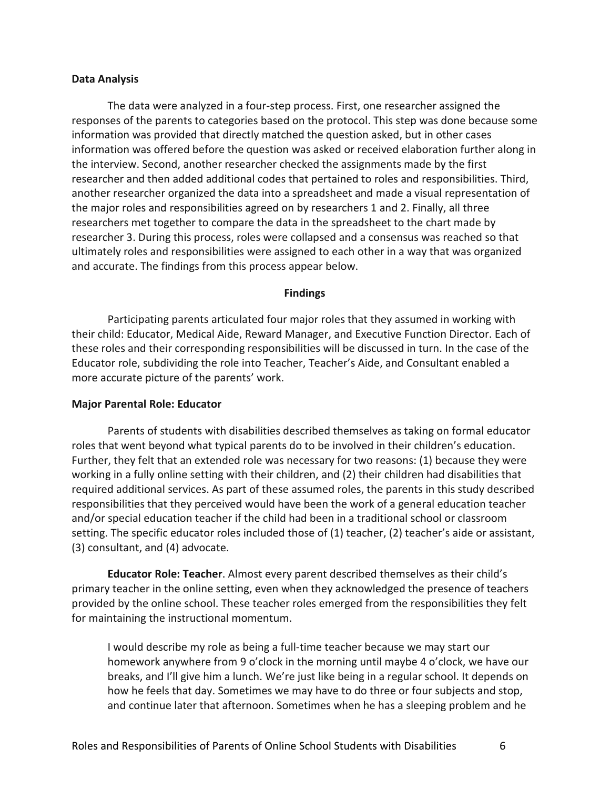#### **Data Analysis**

The data were analyzed in a four-step process. First, one researcher assigned the responses of the parents to categories based on the protocol. This step was done because some information was provided that directly matched the question asked, but in other cases information was offered before the question was asked or received elaboration further along in the interview. Second, another researcher checked the assignments made by the first researcher and then added additional codes that pertained to roles and responsibilities. Third, another researcher organized the data into a spreadsheet and made a visual representation of the major roles and responsibilities agreed on by researchers 1 and 2. Finally, all three researchers met together to compare the data in the spreadsheet to the chart made by researcher 3. During this process, roles were collapsed and a consensus was reached so that ultimately roles and responsibilities were assigned to each other in a way that was organized and accurate. The findings from this process appear below.

#### **Findings**

Participating parents articulated four major roles that they assumed in working with their child: Educator, Medical Aide, Reward Manager, and Executive Function Director. Each of these roles and their corresponding responsibilities will be discussed in turn. In the case of the Educator role, subdividing the role into Teacher, Teacher's Aide, and Consultant enabled a more accurate picture of the parents' work.

#### **Major Parental Role: Educator**

Parents of students with disabilities described themselves as taking on formal educator roles that went beyond what typical parents do to be involved in their children's education. Further, they felt that an extended role was necessary for two reasons: (1) because they were working in a fully online setting with their children, and (2) their children had disabilities that required additional services. As part of these assumed roles, the parents in this study described responsibilities that they perceived would have been the work of a general education teacher and/or special education teacher if the child had been in a traditional school or classroom setting. The specific educator roles included those of (1) teacher, (2) teacher's aide or assistant, (3) consultant, and (4) advocate.

**Educator Role: Teacher**. Almost every parent described themselves as their child's primary teacher in the online setting, even when they acknowledged the presence of teachers provided by the online school. These teacher roles emerged from the responsibilities they felt for maintaining the instructional momentum.

I would describe my role as being a full-time teacher because we may start our homework anywhere from 9 o'clock in the morning until maybe 4 o'clock, we have our breaks, and I'll give him a lunch. We're just like being in a regular school. It depends on how he feels that day. Sometimes we may have to do three or four subjects and stop, and continue later that afternoon. Sometimes when he has a sleeping problem and he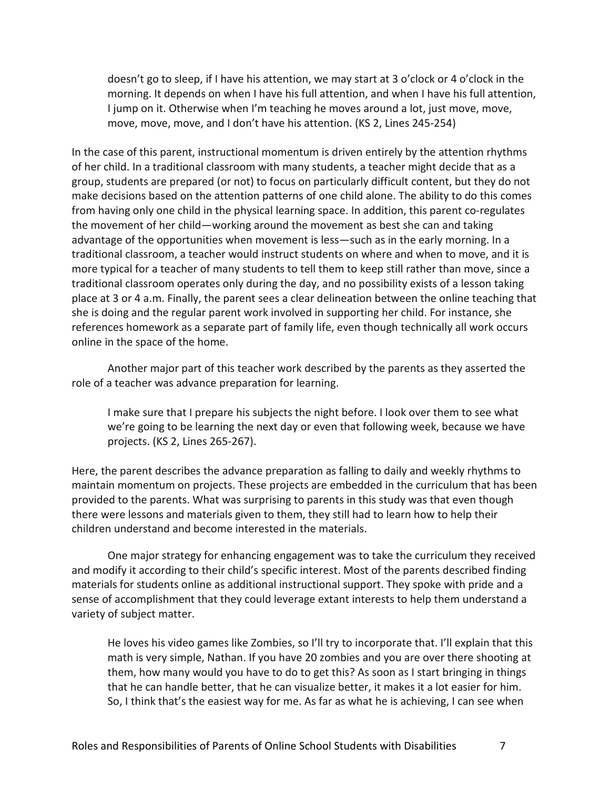doesn't go to sleep, if I have his attention, we may start at 3 o'clock or 4 o'clock in the morning. It depends on when I have his full attention, and when I have his full attention, I jump on it. Otherwise when I'm teaching he moves around a lot, just move, move, move, move, move, and I don't have his attention. (KS 2, Lines 245-254)

In the case of this parent, instructional momentum is driven entirely by the attention rhythms of her child. In a traditional classroom with many students, a teacher might decide that as a group, students are prepared (or not) to focus on particularly difficult content, but they do not make decisions based on the attention patterns of one child alone. The ability to do this comes from having only one child in the physical learning space. In addition, this parent co-regulates the movement of her child—working around the movement as best she can and taking advantage of the opportunities when movement is less—such as in the early morning. In a traditional classroom, a teacher would instruct students on where and when to move, and it is more typical for a teacher of many students to tell them to keep still rather than move, since a traditional classroom operates only during the day, and no possibility exists of a lesson taking place at 3 or 4 a.m. Finally, the parent sees a clear delineation between the online teaching that she is doing and the regular parent work involved in supporting her child. For instance, she references homework as a separate part of family life, even though technically all work occurs online in the space of the home.

Another major part of this teacher work described by the parents as they asserted the role of a teacher was advance preparation for learning.

I make sure that I prepare his subjects the night before. I look over them to see what we're going to be learning the next day or even that following week, because we have projects. (KS 2, Lines 265-267).

Here, the parent describes the advance preparation as falling to daily and weekly rhythms to maintain momentum on projects. These projects are embedded in the curriculum that has been provided to the parents. What was surprising to parents in this study was that even though there were lessons and materials given to them, they still had to learn how to help their children understand and become interested in the materials.

One major strategy for enhancing engagement was to take the curriculum they received and modify it according to their child's specific interest. Most of the parents described finding materials for students online as additional instructional support. They spoke with pride and a sense of accomplishment that they could leverage extant interests to help them understand a variety of subject matter.

He loves his video games like Zombies, so I'll try to incorporate that. I'll explain that this math is very simple, Nathan. If you have 20 zombies and you are over there shooting at them, how many would you have to do to get this? As soon as I start bringing in things that he can handle better, that he can visualize better, it makes it a lot easier for him. So, I think that's the easiest way for me. As far as what he is achieving, I can see when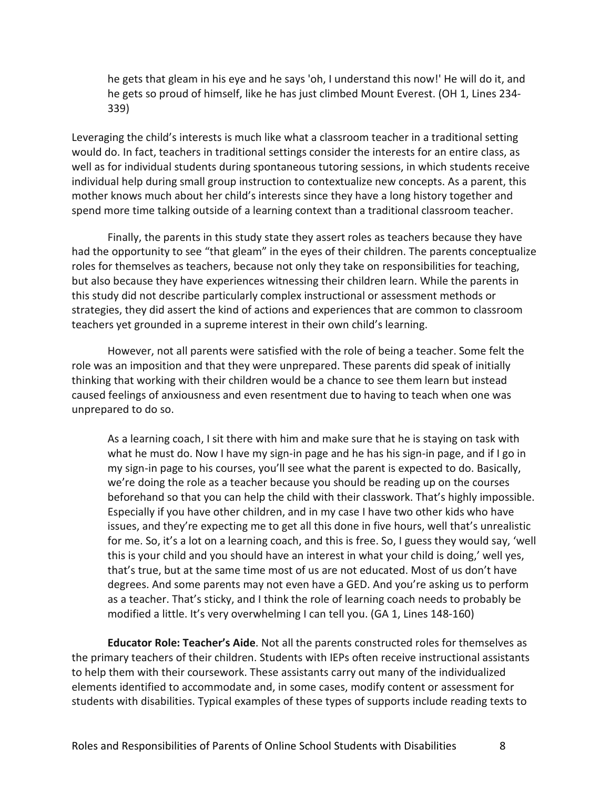he gets that gleam in his eye and he says 'oh, I understand this now!' He will do it, and he gets so proud of himself, like he has just climbed Mount Everest. (OH 1, Lines 234- 339)

Leveraging the child's interests is much like what a classroom teacher in a traditional setting would do. In fact, teachers in traditional settings consider the interests for an entire class, as well as for individual students during spontaneous tutoring sessions, in which students receive individual help during small group instruction to contextualize new concepts. As a parent, this mother knows much about her child's interests since they have a long history together and spend more time talking outside of a learning context than a traditional classroom teacher.

Finally, the parents in this study state they assert roles as teachers because they have had the opportunity to see "that gleam" in the eyes of their children. The parents conceptualize roles for themselves as teachers, because not only they take on responsibilities for teaching, but also because they have experiences witnessing their children learn. While the parents in this study did not describe particularly complex instructional or assessment methods or strategies, they did assert the kind of actions and experiences that are common to classroom teachers yet grounded in a supreme interest in their own child's learning.

However, not all parents were satisfied with the role of being a teacher. Some felt the role was an imposition and that they were unprepared. These parents did speak of initially thinking that working with their children would be a chance to see them learn but instead caused feelings of anxiousness and even resentment due to having to teach when one was unprepared to do so.

As a learning coach, I sit there with him and make sure that he is staying on task with what he must do. Now I have my sign-in page and he has his sign-in page, and if I go in my sign-in page to his courses, you'll see what the parent is expected to do. Basically, we're doing the role as a teacher because you should be reading up on the courses beforehand so that you can help the child with their classwork. That's highly impossible. Especially if you have other children, and in my case I have two other kids who have issues, and they're expecting me to get all this done in five hours, well that's unrealistic for me. So, it's a lot on a learning coach, and this is free. So, I guess they would say, 'well this is your child and you should have an interest in what your child is doing,' well yes, that's true, but at the same time most of us are not educated. Most of us don't have degrees. And some parents may not even have a GED. And you're asking us to perform as a teacher. That's sticky, and I think the role of learning coach needs to probably be modified a little. It's very overwhelming I can tell you. (GA 1, Lines 148-160)

**Educator Role: Teacher's Aide**. Not all the parents constructed roles for themselves as the primary teachers of their children. Students with IEPs often receive instructional assistants to help them with their coursework. These assistants carry out many of the individualized elements identified to accommodate and, in some cases, modify content or assessment for students with disabilities. Typical examples of these types of supports include reading texts to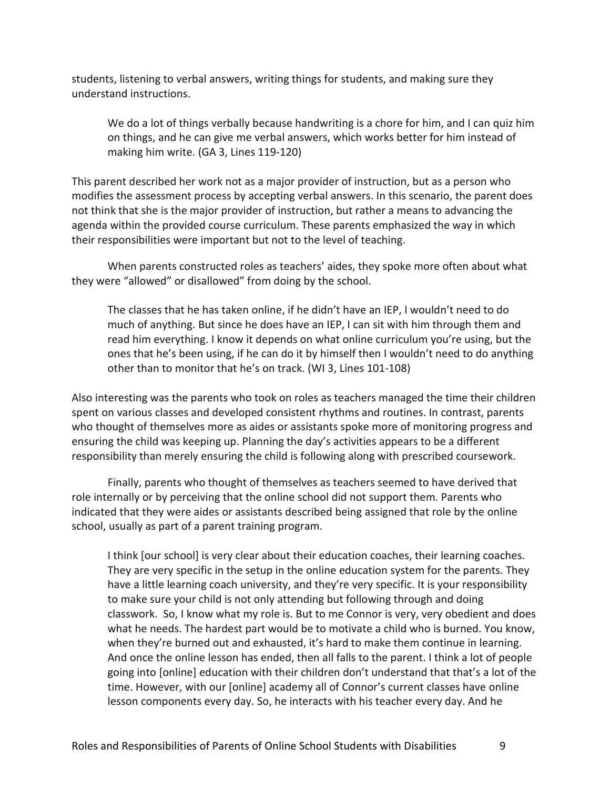students, listening to verbal answers, writing things for students, and making sure they understand instructions.

We do a lot of things verbally because handwriting is a chore for him, and I can quiz him on things, and he can give me verbal answers, which works better for him instead of making him write. (GA 3, Lines 119-120)

This parent described her work not as a major provider of instruction, but as a person who modifies the assessment process by accepting verbal answers. In this scenario, the parent does not think that she is the major provider of instruction, but rather a means to advancing the agenda within the provided course curriculum. These parents emphasized the way in which their responsibilities were important but not to the level of teaching.

When parents constructed roles as teachers' aides, they spoke more often about what they were "allowed" or disallowed" from doing by the school.

The classes that he has taken online, if he didn't have an IEP, I wouldn't need to do much of anything. But since he does have an IEP, I can sit with him through them and read him everything. I know it depends on what online curriculum you're using, but the ones that he's been using, if he can do it by himself then I wouldn't need to do anything other than to monitor that he's on track. (WI 3, Lines 101-108)

Also interesting was the parents who took on roles as teachers managed the time their children spent on various classes and developed consistent rhythms and routines. In contrast, parents who thought of themselves more as aides or assistants spoke more of monitoring progress and ensuring the child was keeping up. Planning the day's activities appears to be a different responsibility than merely ensuring the child is following along with prescribed coursework.

Finally, parents who thought of themselves as teachers seemed to have derived that role internally or by perceiving that the online school did not support them. Parents who indicated that they were aides or assistants described being assigned that role by the online school, usually as part of a parent training program.

I think [our school] is very clear about their education coaches, their learning coaches. They are very specific in the setup in the online education system for the parents. They have a little learning coach university, and they're very specific. It is your responsibility to make sure your child is not only attending but following through and doing classwork. So, I know what my role is. But to me Connor is very, very obedient and does what he needs. The hardest part would be to motivate a child who is burned. You know, when they're burned out and exhausted, it's hard to make them continue in learning. And once the online lesson has ended, then all falls to the parent. I think a lot of people going into [online] education with their children don't understand that that's a lot of the time. However, with our [online] academy all of Connor's current classes have online lesson components every day. So, he interacts with his teacher every day. And he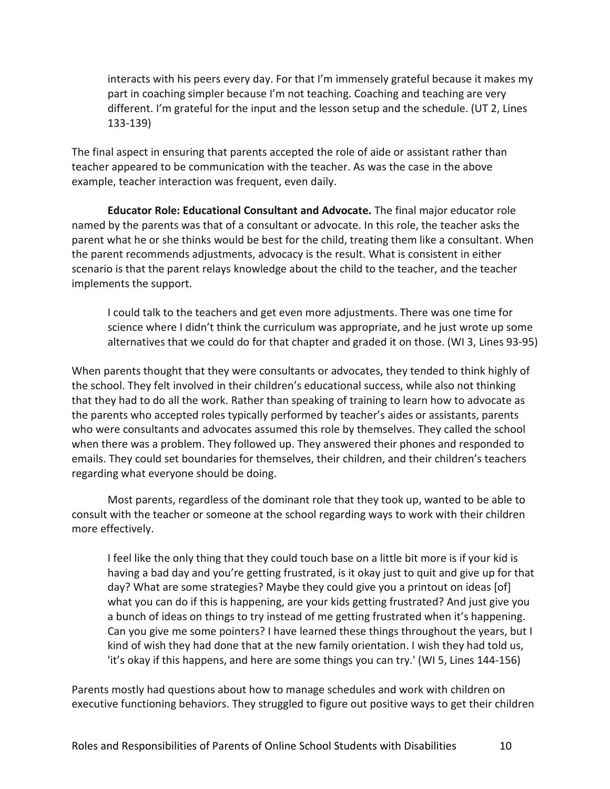interacts with his peers every day. For that I'm immensely grateful because it makes my part in coaching simpler because I'm not teaching. Coaching and teaching are very different. I'm grateful for the input and the lesson setup and the schedule. (UT 2, Lines 133-139)

The final aspect in ensuring that parents accepted the role of aide or assistant rather than teacher appeared to be communication with the teacher. As was the case in the above example, teacher interaction was frequent, even daily.

**Educator Role: Educational Consultant and Advocate.** The final major educator role named by the parents was that of a consultant or advocate. In this role, the teacher asks the parent what he or she thinks would be best for the child, treating them like a consultant. When the parent recommends adjustments, advocacy is the result. What is consistent in either scenario is that the parent relays knowledge about the child to the teacher, and the teacher implements the support.

I could talk to the teachers and get even more adjustments. There was one time for science where I didn't think the curriculum was appropriate, and he just wrote up some alternatives that we could do for that chapter and graded it on those. (WI 3, Lines 93-95)

When parents thought that they were consultants or advocates, they tended to think highly of the school. They felt involved in their children's educational success, while also not thinking that they had to do all the work. Rather than speaking of training to learn how to advocate as the parents who accepted roles typically performed by teacher's aides or assistants, parents who were consultants and advocates assumed this role by themselves. They called the school when there was a problem. They followed up. They answered their phones and responded to emails. They could set boundaries for themselves, their children, and their children's teachers regarding what everyone should be doing.

Most parents, regardless of the dominant role that they took up, wanted to be able to consult with the teacher or someone at the school regarding ways to work with their children more effectively.

I feel like the only thing that they could touch base on a little bit more is if your kid is having a bad day and you're getting frustrated, is it okay just to quit and give up for that day? What are some strategies? Maybe they could give you a printout on ideas [of] what you can do if this is happening, are your kids getting frustrated? And just give you a bunch of ideas on things to try instead of me getting frustrated when it's happening. Can you give me some pointers? I have learned these things throughout the years, but I kind of wish they had done that at the new family orientation. I wish they had told us, 'it's okay if this happens, and here are some things you can try.' (WI 5, Lines 144-156)

Parents mostly had questions about how to manage schedules and work with children on executive functioning behaviors. They struggled to figure out positive ways to get their children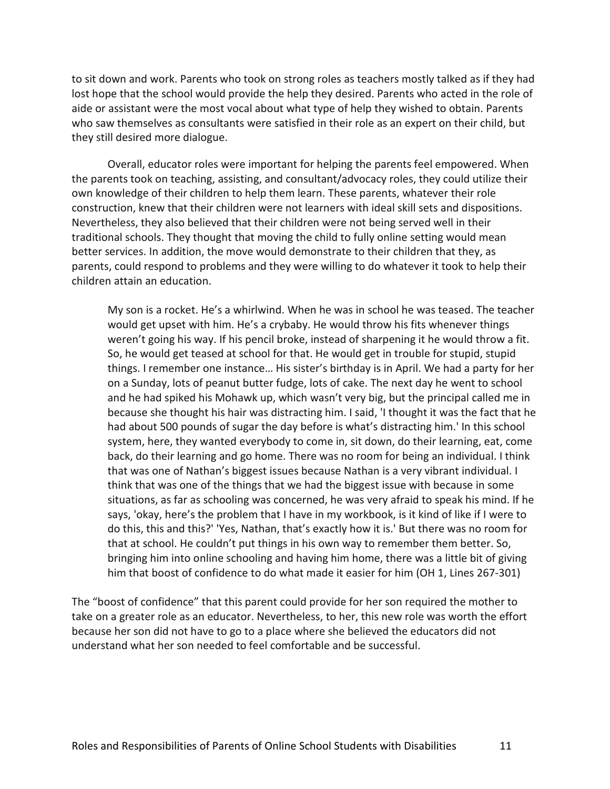to sit down and work. Parents who took on strong roles as teachers mostly talked as if they had lost hope that the school would provide the help they desired. Parents who acted in the role of aide or assistant were the most vocal about what type of help they wished to obtain. Parents who saw themselves as consultants were satisfied in their role as an expert on their child, but they still desired more dialogue.

Overall, educator roles were important for helping the parents feel empowered. When the parents took on teaching, assisting, and consultant/advocacy roles, they could utilize their own knowledge of their children to help them learn. These parents, whatever their role construction, knew that their children were not learners with ideal skill sets and dispositions. Nevertheless, they also believed that their children were not being served well in their traditional schools. They thought that moving the child to fully online setting would mean better services. In addition, the move would demonstrate to their children that they, as parents, could respond to problems and they were willing to do whatever it took to help their children attain an education.

My son is a rocket. He's a whirlwind. When he was in school he was teased. The teacher would get upset with him. He's a crybaby. He would throw his fits whenever things weren't going his way. If his pencil broke, instead of sharpening it he would throw a fit. So, he would get teased at school for that. He would get in trouble for stupid, stupid things. I remember one instance… His sister's birthday is in April. We had a party for her on a Sunday, lots of peanut butter fudge, lots of cake. The next day he went to school and he had spiked his Mohawk up, which wasn't very big, but the principal called me in because she thought his hair was distracting him. I said, 'I thought it was the fact that he had about 500 pounds of sugar the day before is what's distracting him.' In this school system, here, they wanted everybody to come in, sit down, do their learning, eat, come back, do their learning and go home. There was no room for being an individual. I think that was one of Nathan's biggest issues because Nathan is a very vibrant individual. I think that was one of the things that we had the biggest issue with because in some situations, as far as schooling was concerned, he was very afraid to speak his mind. If he says, 'okay, here's the problem that I have in my workbook, is it kind of like if I were to do this, this and this?' 'Yes, Nathan, that's exactly how it is.' But there was no room for that at school. He couldn't put things in his own way to remember them better. So, bringing him into online schooling and having him home, there was a little bit of giving him that boost of confidence to do what made it easier for him (OH 1, Lines 267-301)

The "boost of confidence" that this parent could provide for her son required the mother to take on a greater role as an educator. Nevertheless, to her, this new role was worth the effort because her son did not have to go to a place where she believed the educators did not understand what her son needed to feel comfortable and be successful.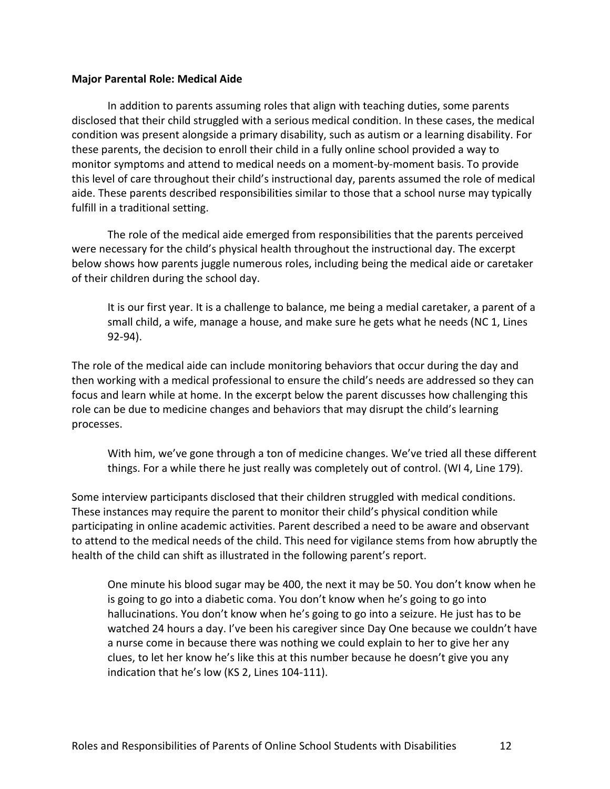#### **Major Parental Role: Medical Aide**

In addition to parents assuming roles that align with teaching duties, some parents disclosed that their child struggled with a serious medical condition. In these cases, the medical condition was present alongside a primary disability, such as autism or a learning disability. For these parents, the decision to enroll their child in a fully online school provided a way to monitor symptoms and attend to medical needs on a moment-by-moment basis. To provide this level of care throughout their child's instructional day, parents assumed the role of medical aide. These parents described responsibilities similar to those that a school nurse may typically fulfill in a traditional setting.

The role of the medical aide emerged from responsibilities that the parents perceived were necessary for the child's physical health throughout the instructional day. The excerpt below shows how parents juggle numerous roles, including being the medical aide or caretaker of their children during the school day.

It is our first year. It is a challenge to balance, me being a medial caretaker, a parent of a small child, a wife, manage a house, and make sure he gets what he needs (NC 1, Lines 92-94).

The role of the medical aide can include monitoring behaviors that occur during the day and then working with a medical professional to ensure the child's needs are addressed so they can focus and learn while at home. In the excerpt below the parent discusses how challenging this role can be due to medicine changes and behaviors that may disrupt the child's learning processes.

With him, we've gone through a ton of medicine changes. We've tried all these different things. For a while there he just really was completely out of control. (WI 4, Line 179).

Some interview participants disclosed that their children struggled with medical conditions. These instances may require the parent to monitor their child's physical condition while participating in online academic activities. Parent described a need to be aware and observant to attend to the medical needs of the child. This need for vigilance stems from how abruptly the health of the child can shift as illustrated in the following parent's report.

One minute his blood sugar may be 400, the next it may be 50. You don't know when he is going to go into a diabetic coma. You don't know when he's going to go into hallucinations. You don't know when he's going to go into a seizure. He just has to be watched 24 hours a day. I've been his caregiver since Day One because we couldn't have a nurse come in because there was nothing we could explain to her to give her any clues, to let her know he's like this at this number because he doesn't give you any indication that he's low (KS 2, Lines 104-111).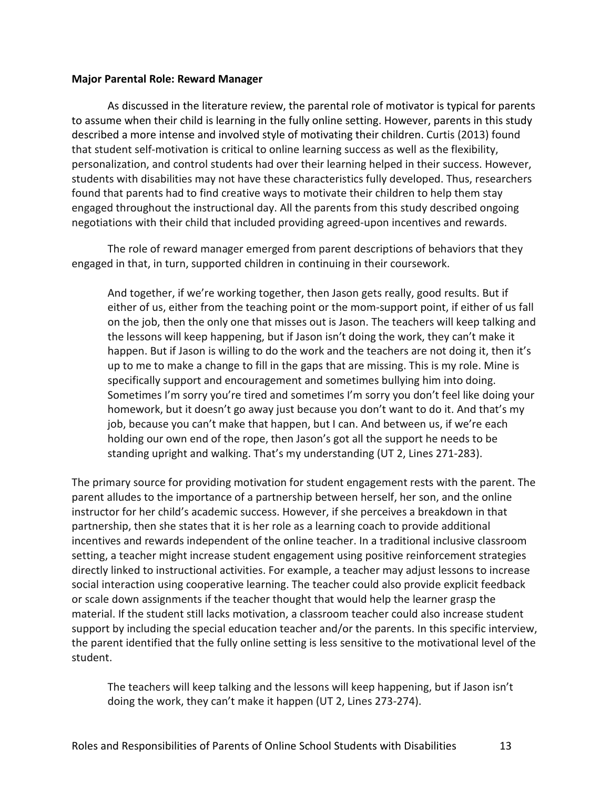#### **Major Parental Role: Reward Manager**

As discussed in the literature review, the parental role of motivator is typical for parents to assume when their child is learning in the fully online setting. However, parents in this study described a more intense and involved style of motivating their children. Curtis (2013) found that student self-motivation is critical to online learning success as well as the flexibility, personalization, and control students had over their learning helped in their success. However, students with disabilities may not have these characteristics fully developed. Thus, researchers found that parents had to find creative ways to motivate their children to help them stay engaged throughout the instructional day. All the parents from this study described ongoing negotiations with their child that included providing agreed-upon incentives and rewards.

The role of reward manager emerged from parent descriptions of behaviors that they engaged in that, in turn, supported children in continuing in their coursework.

And together, if we're working together, then Jason gets really, good results. But if either of us, either from the teaching point or the mom-support point, if either of us fall on the job, then the only one that misses out is Jason. The teachers will keep talking and the lessons will keep happening, but if Jason isn't doing the work, they can't make it happen. But if Jason is willing to do the work and the teachers are not doing it, then it's up to me to make a change to fill in the gaps that are missing. This is my role. Mine is specifically support and encouragement and sometimes bullying him into doing. Sometimes I'm sorry you're tired and sometimes I'm sorry you don't feel like doing your homework, but it doesn't go away just because you don't want to do it. And that's my job, because you can't make that happen, but I can. And between us, if we're each holding our own end of the rope, then Jason's got all the support he needs to be standing upright and walking. That's my understanding (UT 2, Lines 271-283).

The primary source for providing motivation for student engagement rests with the parent. The parent alludes to the importance of a partnership between herself, her son, and the online instructor for her child's academic success. However, if she perceives a breakdown in that partnership, then she states that it is her role as a learning coach to provide additional incentives and rewards independent of the online teacher. In a traditional inclusive classroom setting, a teacher might increase student engagement using positive reinforcement strategies directly linked to instructional activities. For example, a teacher may adjust lessons to increase social interaction using cooperative learning. The teacher could also provide explicit feedback or scale down assignments if the teacher thought that would help the learner grasp the material. If the student still lacks motivation, a classroom teacher could also increase student support by including the special education teacher and/or the parents. In this specific interview, the parent identified that the fully online setting is less sensitive to the motivational level of the student.

The teachers will keep talking and the lessons will keep happening, but if Jason isn't doing the work, they can't make it happen (UT 2, Lines 273-274).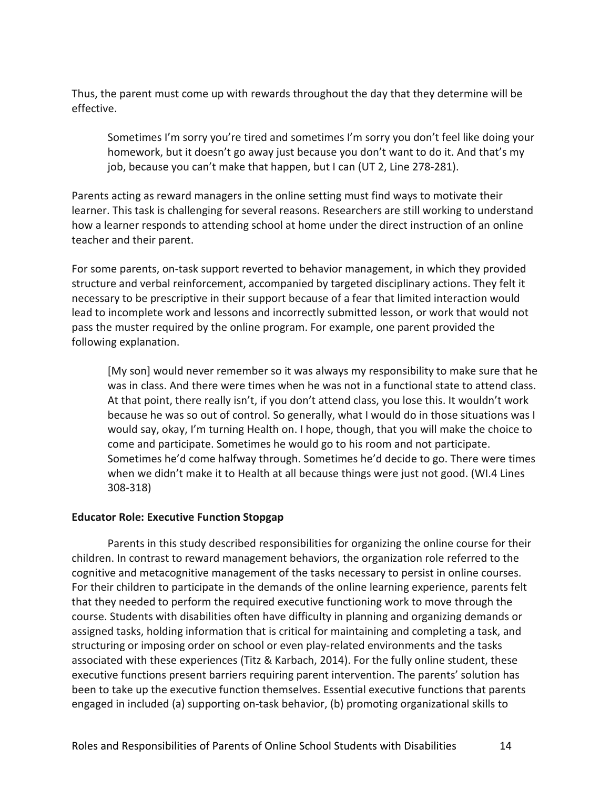Thus, the parent must come up with rewards throughout the day that they determine will be effective.

Sometimes I'm sorry you're tired and sometimes I'm sorry you don't feel like doing your homework, but it doesn't go away just because you don't want to do it. And that's my job, because you can't make that happen, but I can (UT 2, Line 278-281).

Parents acting as reward managers in the online setting must find ways to motivate their learner. This task is challenging for several reasons. Researchers are still working to understand how a learner responds to attending school at home under the direct instruction of an online teacher and their parent.

For some parents, on-task support reverted to behavior management, in which they provided structure and verbal reinforcement, accompanied by targeted disciplinary actions. They felt it necessary to be prescriptive in their support because of a fear that limited interaction would lead to incomplete work and lessons and incorrectly submitted lesson, or work that would not pass the muster required by the online program. For example, one parent provided the following explanation.

[My son] would never remember so it was always my responsibility to make sure that he was in class. And there were times when he was not in a functional state to attend class. At that point, there really isn't, if you don't attend class, you lose this. It wouldn't work because he was so out of control. So generally, what I would do in those situations was I would say, okay, I'm turning Health on. I hope, though, that you will make the choice to come and participate. Sometimes he would go to his room and not participate. Sometimes he'd come halfway through. Sometimes he'd decide to go. There were times when we didn't make it to Health at all because things were just not good. (WI.4 Lines 308-318)

#### **Educator Role: Executive Function Stopgap**

Parents in this study described responsibilities for organizing the online course for their children. In contrast to reward management behaviors, the organization role referred to the cognitive and metacognitive management of the tasks necessary to persist in online courses. For their children to participate in the demands of the online learning experience, parents felt that they needed to perform the required executive functioning work to move through the course. Students with disabilities often have difficulty in planning and organizing demands or assigned tasks, holding information that is critical for maintaining and completing a task, and structuring or imposing order on school or even play-related environments and the tasks associated with these experiences (Titz & Karbach, 2014). For the fully online student, these executive functions present barriers requiring parent intervention. The parents' solution has been to take up the executive function themselves. Essential executive functions that parents engaged in included (a) supporting on-task behavior, (b) promoting organizational skills to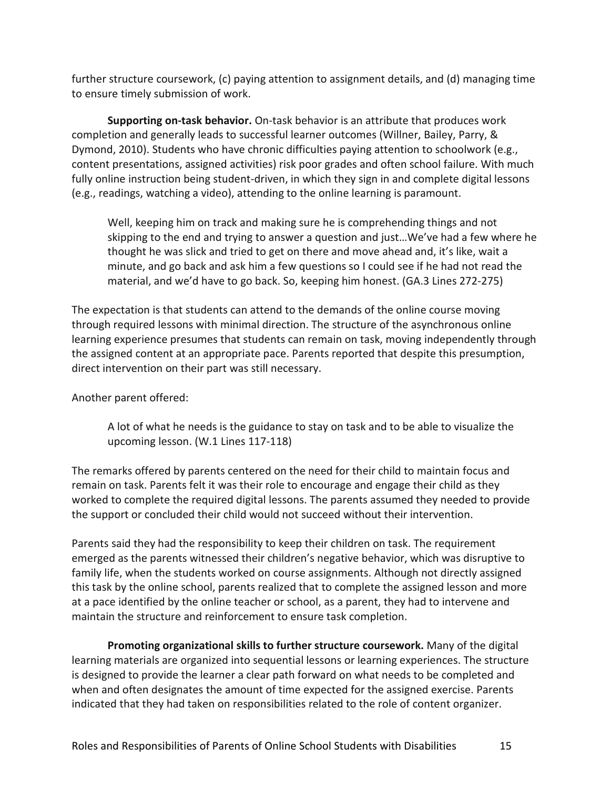further structure coursework, (c) paying attention to assignment details, and (d) managing time to ensure timely submission of work.

**Supporting on-task behavior.** On-task behavior is an attribute that produces work completion and generally leads to successful learner outcomes (Willner, Bailey, Parry, & Dymond, 2010). Students who have chronic difficulties paying attention to schoolwork (e.g., content presentations, assigned activities) risk poor grades and often school failure. With much fully online instruction being student-driven, in which they sign in and complete digital lessons (e.g., readings, watching a video), attending to the online learning is paramount.

Well, keeping him on track and making sure he is comprehending things and not skipping to the end and trying to answer a question and just…We've had a few where he thought he was slick and tried to get on there and move ahead and, it's like, wait a minute, and go back and ask him a few questions so I could see if he had not read the material, and we'd have to go back. So, keeping him honest. (GA.3 Lines 272-275)

The expectation is that students can attend to the demands of the online course moving through required lessons with minimal direction. The structure of the asynchronous online learning experience presumes that students can remain on task, moving independently through the assigned content at an appropriate pace. Parents reported that despite this presumption, direct intervention on their part was still necessary.

Another parent offered:

A lot of what he needs is the guidance to stay on task and to be able to visualize the upcoming lesson. (W.1 Lines 117-118)

The remarks offered by parents centered on the need for their child to maintain focus and remain on task. Parents felt it was their role to encourage and engage their child as they worked to complete the required digital lessons. The parents assumed they needed to provide the support or concluded their child would not succeed without their intervention.

Parents said they had the responsibility to keep their children on task. The requirement emerged as the parents witnessed their children's negative behavior, which was disruptive to family life, when the students worked on course assignments. Although not directly assigned this task by the online school, parents realized that to complete the assigned lesson and more at a pace identified by the online teacher or school, as a parent, they had to intervene and maintain the structure and reinforcement to ensure task completion.

**Promoting organizational skills to further structure coursework.** Many of the digital learning materials are organized into sequential lessons or learning experiences. The structure is designed to provide the learner a clear path forward on what needs to be completed and when and often designates the amount of time expected for the assigned exercise. Parents indicated that they had taken on responsibilities related to the role of content organizer.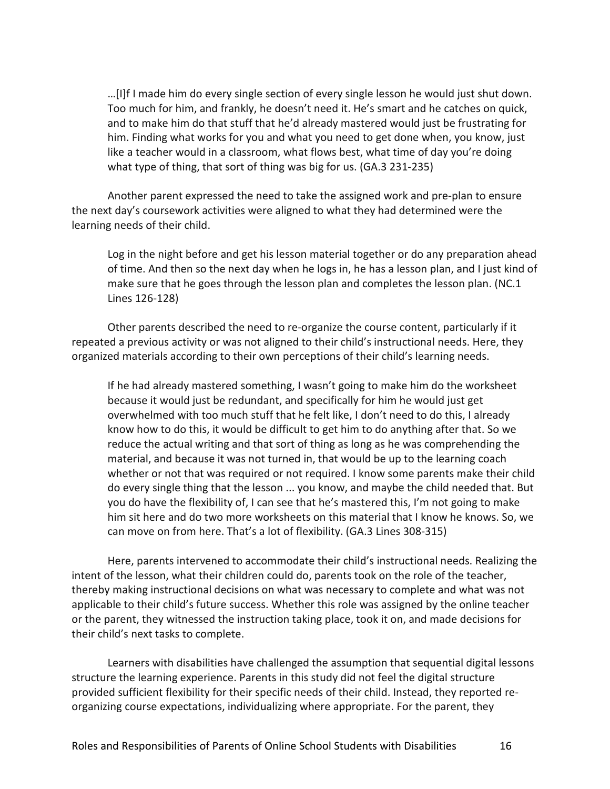…[I]f I made him do every single section of every single lesson he would just shut down. Too much for him, and frankly, he doesn't need it. He's smart and he catches on quick, and to make him do that stuff that he'd already mastered would just be frustrating for him. Finding what works for you and what you need to get done when, you know, just like a teacher would in a classroom, what flows best, what time of day you're doing what type of thing, that sort of thing was big for us. (GA.3 231-235)

Another parent expressed the need to take the assigned work and pre-plan to ensure the next day's coursework activities were aligned to what they had determined were the learning needs of their child.

Log in the night before and get his lesson material together or do any preparation ahead of time. And then so the next day when he logs in, he has a lesson plan, and I just kind of make sure that he goes through the lesson plan and completes the lesson plan. (NC.1 Lines 126-128)

Other parents described the need to re-organize the course content, particularly if it repeated a previous activity or was not aligned to their child's instructional needs. Here, they organized materials according to their own perceptions of their child's learning needs.

If he had already mastered something, I wasn't going to make him do the worksheet because it would just be redundant, and specifically for him he would just get overwhelmed with too much stuff that he felt like, I don't need to do this, I already know how to do this, it would be difficult to get him to do anything after that. So we reduce the actual writing and that sort of thing as long as he was comprehending the material, and because it was not turned in, that would be up to the learning coach whether or not that was required or not required. I know some parents make their child do every single thing that the lesson ... you know, and maybe the child needed that. But you do have the flexibility of, I can see that he's mastered this, I'm not going to make him sit here and do two more worksheets on this material that I know he knows. So, we can move on from here. That's a lot of flexibility. (GA.3 Lines 308-315)

Here, parents intervened to accommodate their child's instructional needs. Realizing the intent of the lesson, what their children could do, parents took on the role of the teacher, thereby making instructional decisions on what was necessary to complete and what was not applicable to their child's future success. Whether this role was assigned by the online teacher or the parent, they witnessed the instruction taking place, took it on, and made decisions for their child's next tasks to complete.

Learners with disabilities have challenged the assumption that sequential digital lessons structure the learning experience. Parents in this study did not feel the digital structure provided sufficient flexibility for their specific needs of their child. Instead, they reported reorganizing course expectations, individualizing where appropriate. For the parent, they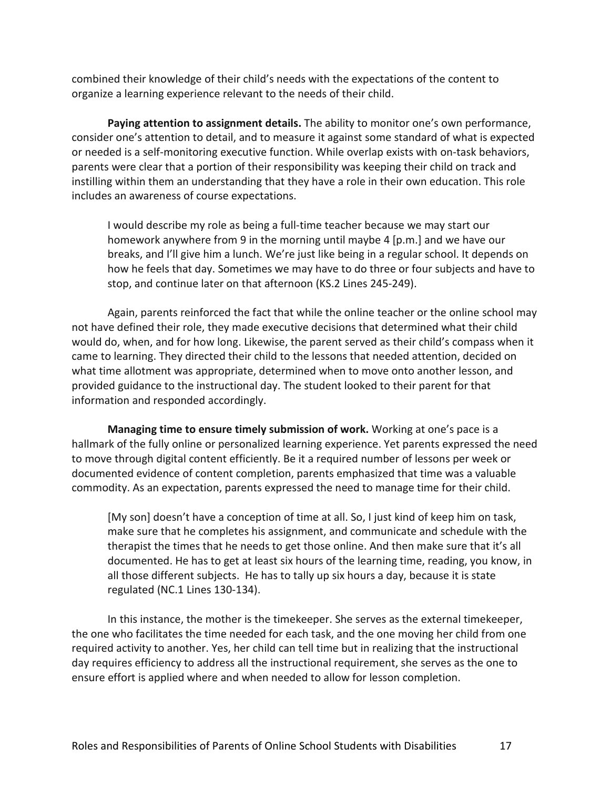combined their knowledge of their child's needs with the expectations of the content to organize a learning experience relevant to the needs of their child.

**Paying attention to assignment details.** The ability to monitor one's own performance, consider one's attention to detail, and to measure it against some standard of what is expected or needed is a self-monitoring executive function. While overlap exists with on-task behaviors, parents were clear that a portion of their responsibility was keeping their child on track and instilling within them an understanding that they have a role in their own education. This role includes an awareness of course expectations.

I would describe my role as being a full-time teacher because we may start our homework anywhere from 9 in the morning until maybe 4 [p.m.] and we have our breaks, and I'll give him a lunch. We're just like being in a regular school. It depends on how he feels that day. Sometimes we may have to do three or four subjects and have to stop, and continue later on that afternoon (KS.2 Lines 245-249).

Again, parents reinforced the fact that while the online teacher or the online school may not have defined their role, they made executive decisions that determined what their child would do, when, and for how long. Likewise, the parent served as their child's compass when it came to learning. They directed their child to the lessons that needed attention, decided on what time allotment was appropriate, determined when to move onto another lesson, and provided guidance to the instructional day. The student looked to their parent for that information and responded accordingly.

**Managing time to ensure timely submission of work.** Working at one's pace is a hallmark of the fully online or personalized learning experience. Yet parents expressed the need to move through digital content efficiently. Be it a required number of lessons per week or documented evidence of content completion, parents emphasized that time was a valuable commodity. As an expectation, parents expressed the need to manage time for their child.

[My son] doesn't have a conception of time at all. So, I just kind of keep him on task, make sure that he completes his assignment, and communicate and schedule with the therapist the times that he needs to get those online. And then make sure that it's all documented. He has to get at least six hours of the learning time, reading, you know, in all those different subjects. He has to tally up six hours a day, because it is state regulated (NC.1 Lines 130-134).

In this instance, the mother is the timekeeper. She serves as the external timekeeper, the one who facilitates the time needed for each task, and the one moving her child from one required activity to another. Yes, her child can tell time but in realizing that the instructional day requires efficiency to address all the instructional requirement, she serves as the one to ensure effort is applied where and when needed to allow for lesson completion.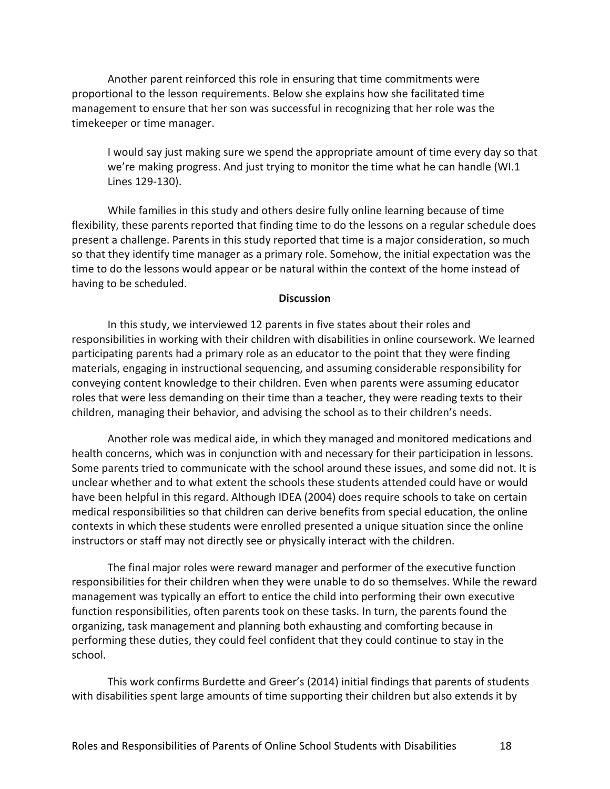Another parent reinforced this role in ensuring that time commitments were proportional to the lesson requirements. Below she explains how she facilitated time management to ensure that her son was successful in recognizing that her role was the timekeeper or time manager.

I would say just making sure we spend the appropriate amount of time every day so that we're making progress. And just trying to monitor the time what he can handle (WI.1 Lines 129-130).

While families in this study and others desire fully online learning because of time flexibility, these parents reported that finding time to do the lessons on a regular schedule does present a challenge. Parents in this study reported that time is a major consideration, so much so that they identify time manager as a primary role. Somehow, the initial expectation was the time to do the lessons would appear or be natural within the context of the home instead of having to be scheduled.

#### **Discussion**

In this study, we interviewed 12 parents in five states about their roles and responsibilities in working with their children with disabilities in online coursework. We learned participating parents had a primary role as an educator to the point that they were finding materials, engaging in instructional sequencing, and assuming considerable responsibility for conveying content knowledge to their children. Even when parents were assuming educator roles that were less demanding on their time than a teacher, they were reading texts to their children, managing their behavior, and advising the school as to their children's needs.

Another role was medical aide, in which they managed and monitored medications and health concerns, which was in conjunction with and necessary for their participation in lessons. Some parents tried to communicate with the school around these issues, and some did not. It is unclear whether and to what extent the schools these students attended could have or would have been helpful in this regard. Although IDEA (2004) does require schools to take on certain medical responsibilities so that children can derive benefits from special education, the online contexts in which these students were enrolled presented a unique situation since the online instructors or staff may not directly see or physically interact with the children.

The final major roles were reward manager and performer of the executive function responsibilities for their children when they were unable to do so themselves. While the reward management was typically an effort to entice the child into performing their own executive function responsibilities, often parents took on these tasks. In turn, the parents found the organizing, task management and planning both exhausting and comforting because in performing these duties, they could feel confident that they could continue to stay in the school.

This work confirms Burdette and Greer's (2014) initial findings that parents of students with disabilities spent large amounts of time supporting their children but also extends it by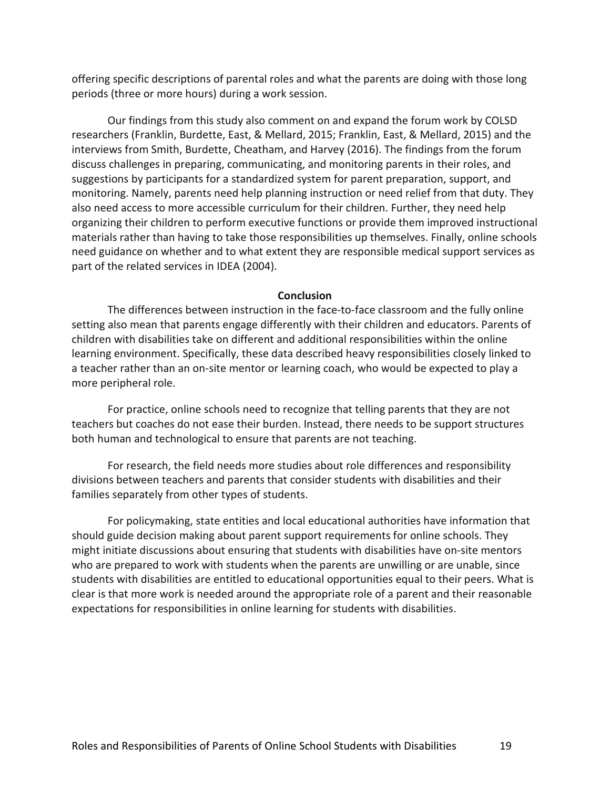offering specific descriptions of parental roles and what the parents are doing with those long periods (three or more hours) during a work session.

Our findings from this study also comment on and expand the forum work by COLSD researchers (Franklin, Burdette, East, & Mellard, 2015; Franklin, East, & Mellard, 2015) and the interviews from Smith, Burdette, Cheatham, and Harvey (2016). The findings from the forum discuss challenges in preparing, communicating, and monitoring parents in their roles, and suggestions by participants for a standardized system for parent preparation, support, and monitoring. Namely, parents need help planning instruction or need relief from that duty. They also need access to more accessible curriculum for their children. Further, they need help organizing their children to perform executive functions or provide them improved instructional materials rather than having to take those responsibilities up themselves. Finally, online schools need guidance on whether and to what extent they are responsible medical support services as part of the related services in IDEA (2004).

#### **Conclusion**

The differences between instruction in the face-to-face classroom and the fully online setting also mean that parents engage differently with their children and educators. Parents of children with disabilities take on different and additional responsibilities within the online learning environment. Specifically, these data described heavy responsibilities closely linked to a teacher rather than an on-site mentor or learning coach, who would be expected to play a more peripheral role.

For practice, online schools need to recognize that telling parents that they are not teachers but coaches do not ease their burden. Instead, there needs to be support structures both human and technological to ensure that parents are not teaching.

For research, the field needs more studies about role differences and responsibility divisions between teachers and parents that consider students with disabilities and their families separately from other types of students.

For policymaking, state entities and local educational authorities have information that should guide decision making about parent support requirements for online schools. They might initiate discussions about ensuring that students with disabilities have on-site mentors who are prepared to work with students when the parents are unwilling or are unable, since students with disabilities are entitled to educational opportunities equal to their peers. What is clear is that more work is needed around the appropriate role of a parent and their reasonable expectations for responsibilities in online learning for students with disabilities.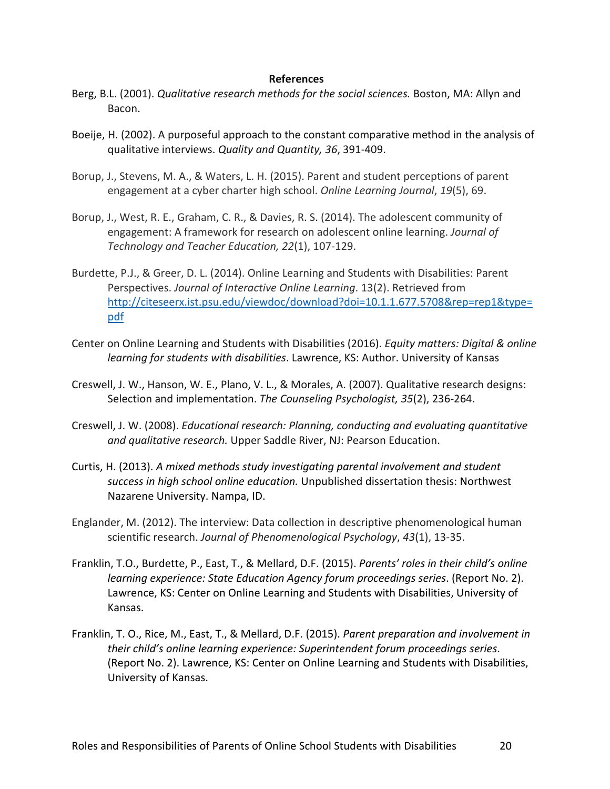#### **References**

- Berg, B.L. (2001). *Qualitative research methods for the social sciences.* Boston, MA: Allyn and Bacon.
- Boeije, H. (2002). A purposeful approach to the constant comparative method in the analysis of qualitative interviews. *Quality and Quantity, 36*, 391-409.
- Borup, J., Stevens, M. A., & Waters, L. H. (2015). Parent and student perceptions of parent engagement at a cyber charter high school. *Online Learning Journal*, *19*(5), 69.
- Borup, J., West, R. E., Graham, C. R., & Davies, R. S. (2014). The adolescent community of engagement: A framework for research on adolescent online learning. *Journal of Technology and Teacher Education, 22*(1), 107-129.
- Burdette, P.J., & Greer, D. L. (2014). Online Learning and Students with Disabilities: Parent Perspectives. *Journal of Interactive Online Learning*. 13(2). Retrieved from [http://citeseerx.ist.psu.edu/viewdoc/download?doi=10.1.1.677.5708&rep=rep1&type=](http://citeseerx.ist.psu.edu/viewdoc/download?doi=10.1.1.677.5708&rep=rep1&type=pdf) [pdf](http://citeseerx.ist.psu.edu/viewdoc/download?doi=10.1.1.677.5708&rep=rep1&type=pdf)
- Center on Online Learning and Students with Disabilities (2016). *Equity matters: Digital & online learning for students with disabilities*. Lawrence, KS: Author. University of Kansas
- Creswell, J. W., Hanson, W. E., Plano, V. L., & Morales, A. (2007). Qualitative research designs: Selection and implementation. *The Counseling Psychologist, 35*(2), 236-264.
- Creswell, J. W. (2008). *Educational research: Planning, conducting and evaluating quantitative and qualitative research.* Upper Saddle River, NJ: Pearson Education.
- Curtis, H. (2013). *A mixed methods study investigating parental involvement and student success in high school online education.* Unpublished dissertation thesis: Northwest Nazarene University. Nampa, ID.
- Englander, M. (2012). The interview: Data collection in descriptive phenomenological human scientific research. *Journal of Phenomenological Psychology*, *43*(1), 13-35.
- Franklin, T.O., Burdette, P., East, T., & Mellard, D.F. (2015). *Parents' roles in their child's online learning experience: State Education Agency forum proceedings series*. (Report No. 2). Lawrence, KS: Center on Online Learning and Students with Disabilities, University of Kansas.
- Franklin, T. O., Rice, M., East, T., & Mellard, D.F. (2015). *Parent preparation and involvement in their child's online learning experience: Superintendent forum proceedings series*. (Report No. 2). Lawrence, KS: Center on Online Learning and Students with Disabilities, University of Kansas.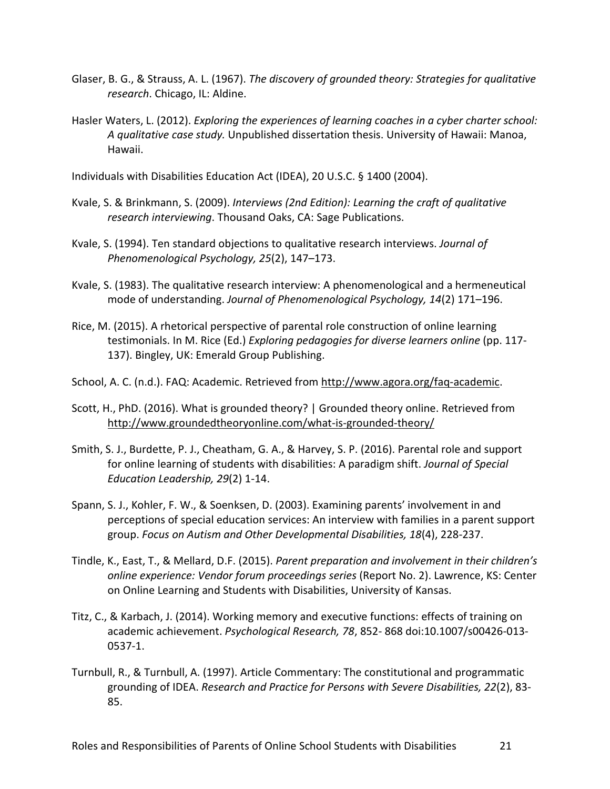- Glaser, B. G., & Strauss, A. L. (1967). *The discovery of grounded theory: Strategies for qualitative research*. Chicago, IL: Aldine.
- Hasler Waters, L. (2012). *Exploring the experiences of learning coaches in a cyber charter school: A qualitative case study.* Unpublished dissertation thesis. University of Hawaii: Manoa, Hawaii.

Individuals with Disabilities Education Act (IDEA), 20 U.S.C. § 1400 (2004).

- Kvale, S. & Brinkmann, S. (2009). *Interviews (2nd Edition): Learning the craft of qualitative research interviewing*. Thousand Oaks, CA: Sage Publications.
- Kvale, S. (1994). Ten standard objections to qualitative research interviews. *Journal of Phenomenological Psychology, 25*(2), 147–173.
- Kvale, S. (1983). The qualitative research interview: A phenomenological and a hermeneutical mode of understanding. *Journal of Phenomenological Psychology, 14*(2) 171–196.
- Rice, M. (2015). A rhetorical perspective of parental role construction of online learning testimonials. In M. Rice (Ed.) *Exploring pedagogies for diverse learners online* (pp. 117- 137). Bingley, UK: Emerald Group Publishing.
- School, A. C. (n.d.). FAQ: Academic. Retrieved from [http://www.agora.org/faq-academic.](http://www.agora.org/faq-academic)
- Scott, H., PhD. (2016). What is grounded theory? | Grounded theory online. Retrieved fro[m](http://www.groundedtheoryonline.com/what-is-grounded-theory/) <http://www.groundedtheoryonline.com/what-is-grounded-theory/>
- Smith, S. J., Burdette, P. J., Cheatham, G. A., & Harvey, S. P. (2016). Parental role and support for online learning of students with disabilities: A paradigm shift. *Journal of Special Education Leadership, 29*(2) 1-14.
- Spann, S. J., Kohler, F. W., & Soenksen, D. (2003). Examining parents' involvement in and perceptions of special education services: An interview with families in a parent support group. *Focus on Autism and Other Developmental Disabilities, 18*(4), 228-237.
- Tindle, K., East, T., & Mellard, D.F. (2015). *Parent preparation and involvement in their children's online experience: Vendor forum proceedings series* (Report No. 2). Lawrence, KS: Center on Online Learning and Students with Disabilities, University of Kansas.
- Titz, C., & Karbach, J. (2014). Working memory and executive functions: effects of training on academic achievement. *Psychological Research, 78*, 852- 868 doi:10.1007/s00426-013- 0537-1.
- Turnbull, R., & Turnbull, A. (1997). Article Commentary: The constitutional and programmatic grounding of IDEA. *Research and Practice for Persons with Severe Disabilities, 22*(2), 83- 85.